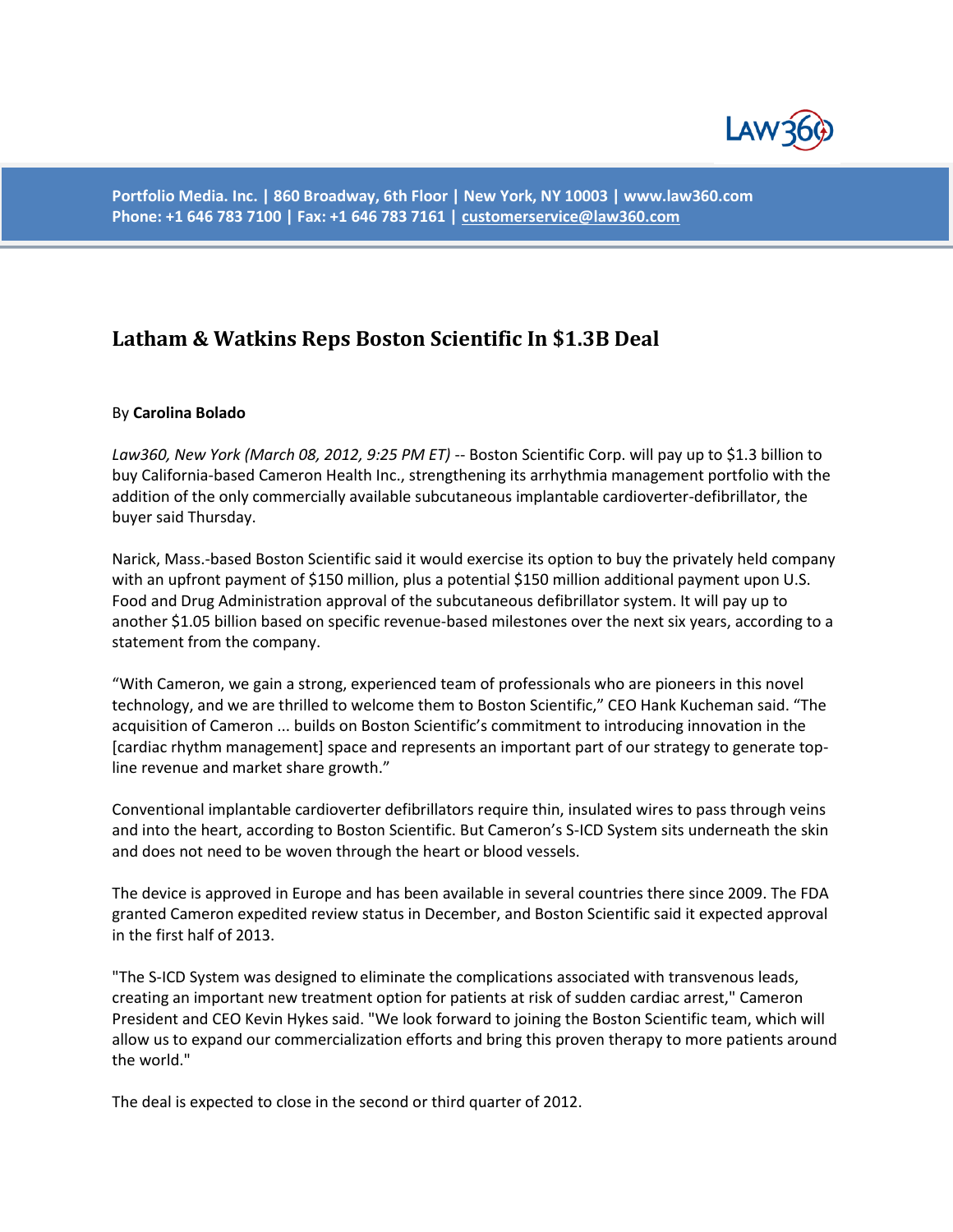

**Portfolio Media. Inc. | 860 Broadway, 6th Floor | New York, NY 10003 | www.law360.com Phone: +1 646 783 7100 | Fax: +1 646 783 7161 [| customerservice@law360.com](mailto:customerservice@law360.com)**

## **Latham & Watkins Reps Boston Scientific In \$1.3B Deal**

## By **Carolina Bolado**

*Law360, New York (March 08, 2012, 9:25 PM ET)* -- Boston Scientific Corp. will pay up to \$1.3 billion to buy California-based Cameron Health Inc., strengthening its arrhythmia management portfolio with the addition of the only commercially available subcutaneous implantable cardioverter-defibrillator, the buyer said Thursday.

Narick, Mass.-based Boston Scientific said it would exercise its option to buy the privately held company with an upfront payment of \$150 million, plus a potential \$150 million additional payment upon U.S. Food and Drug Administration approval of the subcutaneous defibrillator system. It will pay up to another \$1.05 billion based on specific revenue-based milestones over the next six years, according to a statement from the company.

"With Cameron, we gain a strong, experienced team of professionals who are pioneers in this novel technology, and we are thrilled to welcome them to Boston Scientific," CEO Hank Kucheman said. "The acquisition of Cameron ... builds on Boston Scientific's commitment to introducing innovation in the [cardiac rhythm management] space and represents an important part of our strategy to generate topline revenue and market share growth."

Conventional implantable cardioverter defibrillators require thin, insulated wires to pass through veins and into the heart, according to Boston Scientific. But Cameron's S-ICD System sits underneath the skin and does not need to be woven through the heart or blood vessels.

The device is approved in Europe and has been available in several countries there since 2009. The FDA granted Cameron expedited review status in December, and Boston Scientific said it expected approval in the first half of 2013.

"The S-ICD System was designed to eliminate the complications associated with transvenous leads, creating an important new treatment option for patients at risk of sudden cardiac arrest," Cameron President and CEO Kevin Hykes said. "We look forward to joining the Boston Scientific team, which will allow us to expand our commercialization efforts and bring this proven therapy to more patients around the world."

The deal is expected to close in the second or third quarter of 2012.